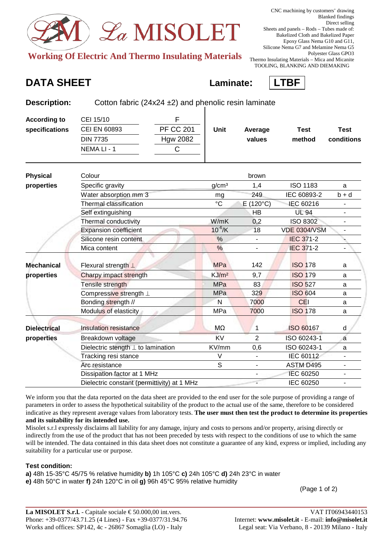

**Working Of Electric And Thermo Insulating Materials** 

**Description:** Cotton fabric (24x24 ±2) and phenolic resin laminate

TOOLING, BLANKING AND DIEMAKING

## **DATA SHEET Laminate: LTBF**



| <b>According to</b> | F<br>CEI 15/10                              |                   |                          |                     |                          |
|---------------------|---------------------------------------------|-------------------|--------------------------|---------------------|--------------------------|
| specifications      | <b>PF CC 201</b><br>CEI EN 60893            | <b>Unit</b>       | Average                  | <b>Test</b>         | <b>Test</b>              |
|                     | <b>DIN 7735</b><br><b>Hgw 2082</b>          |                   | values                   | method              | conditions               |
|                     | NEMA LI - 1<br>$\mathsf{C}$                 |                   |                          |                     |                          |
| <b>Physical</b>     | Colour                                      |                   | brown                    |                     |                          |
| properties          | Specific gravity                            | g/cm <sup>3</sup> | 1,4                      | <b>ISO 1183</b>     | a                        |
|                     | Water absorption mm 3                       | mg                | 249                      | IEC 60893-2         | $b + d$                  |
|                     | Thermal classification                      | $\rm ^{\circ}C$   | $E(120^{\circ}C)$        | IEC 60216           |                          |
|                     | Self extinguishing                          |                   | <b>HB</b>                | <b>UL 94</b>        | $\overline{\phantom{0}}$ |
|                     | Thermal conductivity                        | W/mK              | 0,2                      | <b>ISO 8302</b>     |                          |
|                     | <b>Expansion coefficient</b>                | $10^{-6}$ /K      | 18                       | <b>VDE 0304/VSM</b> |                          |
|                     | Silicone resin content                      | $\frac{1}{2}$     |                          | <b>IEC 371-2</b>    |                          |
|                     | Mica content                                | $\frac{0}{0}$     |                          | <b>IEC 371-2</b>    |                          |
| <b>Mechanical</b>   | Flexural strength $\perp$                   | <b>MPa</b>        | 142                      | <b>ISO 178</b>      | a                        |
| properties          | Charpy impact strength                      | KJ/m <sup>2</sup> | 9,7                      | <b>ISO 179</b>      | a                        |
|                     | Tensile strength                            | <b>MPa</b>        | 83                       | <b>ISO 527</b>      | a                        |
|                     | Compressive strength ⊥                      | <b>MPa</b>        | 329                      | <b>ISO 604</b>      | a                        |
|                     | Bonding strength //                         | N                 | 7000                     | <b>CEI</b>          | a                        |
|                     | Modulus of elasticity                       | <b>MPa</b>        | 7000                     | <b>ISO 178</b>      | a                        |
| <b>Dielectrical</b> | <b>Insulation resistance</b>                | MΩ                | 1                        | <b>ISO 60167</b>    | d                        |
| properties          | Breakdown voltage                           | <b>KV</b>         | $\overline{2}$           | ISO 60243-1         | a                        |
|                     | Dielectric stength $\perp$ to lamination    | KV/mm             | 0,6                      | ISO 60243-1         | a                        |
|                     | Tracking resi stance                        | V                 | $\overline{\phantom{0}}$ | IEC 60112           |                          |
|                     | Arc resistance                              | $\overline{s}$    | L.                       | <b>ASTM D495</b>    |                          |
|                     | Dissipation factor at 1 MHz                 |                   |                          | <b>IEC 60250</b>    | $\overline{\phantom{a}}$ |
|                     | Dielectric constant (permittivity) at 1 MHz |                   |                          | IEC 60250           |                          |

We inform you that the data reported on the data sheet are provided to the end user for the sole purpose of providing a range of parameters in order to assess the hypothetical suitability of the product to the actual use of the same, therefore to be considered indicative as they represent average values from laboratory tests. **The user must then test the product to determine its properties and its suitability for its intended use.**

Misolet s.r.l expressly disclaims all liability for any damage, injury and costs to persons and/or property, arising directly or indirectly from the use of the product that has not been preceded by tests with respect to the conditions of use to which the same will be intended. The data contained in this data sheet does not constitute a guarantee of any kind, express or implied, including any suitability for a particular use or purpose.

## **Test condition:**

**a)** 48h 15-35°C 45/75 % relative humidity **b)** 1h 105°C **c)** 24h 105°C **d)** 24h 23°C in water

**e)** 48h 50°C in water **f)** 24h 120°C in oil **g)** 96h 45°C 95% relative humidity

(Page 1 of 2)